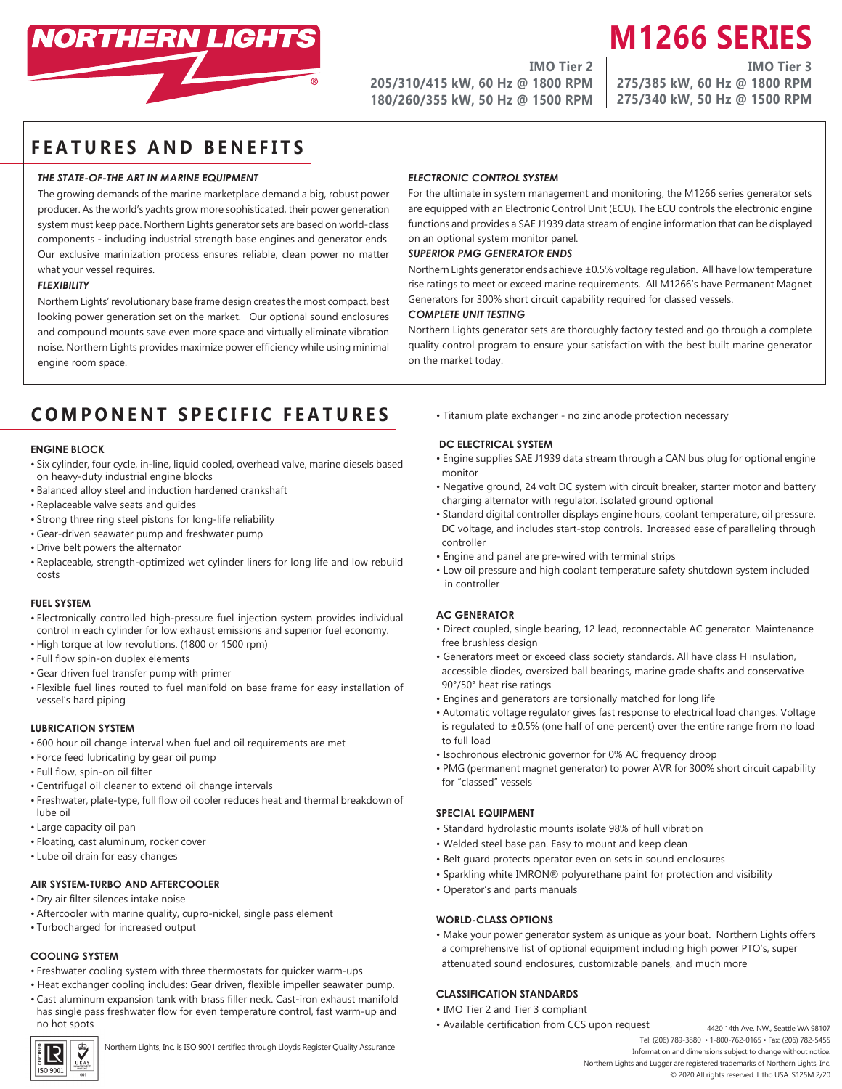

**IMO Tier 2 205/310/415 kW, 60 Hz @ 1800 RPM 180/260/355 kW, 50 Hz @ 1500 RPM** **M1266 SERIES IMO Tier 3**

**275/385 kW, 60 Hz @ 1800 RPM 275/340 kW, 50 Hz @ 1500 RPM**

## **FEATURES AND BENEFITS**

### *THE STATE-OF-THE ART IN MARINE EQUIPMENT*

The growing demands of the marine marketplace demand a big, robust power producer. As the world's yachts grow more sophisticated, their power generation system must keep pace. Northern Lights generator sets are based on world-class components - including industrial strength base engines and generator ends. Our exclusive marinization process ensures reliable, clean power no matter what your vessel requires.

#### *FLEXIBILITY*

Northern Lights' revolutionary base frame design creates the most compact, best looking power generation set on the market. Our optional sound enclosures and compound mounts save even more space and virtually eliminate vibration noise. Northern Lights provides maximize power efficiency while using minimal engine room space.

## *ELECTRONIC CONTROL SYSTEM*

For the ultimate in system management and monitoring, the M1266 series generator sets are equipped with an Electronic Control Unit (ECU). The ECU controls the electronic engine functions and provides a SAE J1939 data stream of engine information that can be displayed on an optional system monitor panel.

### *SUPERIOR PMG GENERATOR ENDS*

Northern Lights generator ends achieve ±0.5% voltage regulation. All have low temperature rise ratings to meet or exceed marine requirements. All M1266's have Permanent Magnet Generators for 300% short circuit capability required for classed vessels.

#### *COMPLETE UNIT TESTING*

Northern Lights generator sets are thoroughly factory tested and go through a complete quality control program to ensure your satisfaction with the best built marine generator on the market today.

# **COMPONENT SPECIFIC FEATURES**

#### **ENGINE BLOCK**

- Six cylinder, four cycle, in-line, liquid cooled, overhead valve, marine diesels based on heavy-duty industrial engine blocks
- Balanced alloy steel and induction hardened crankshaft
- Replaceable valve seats and guides
- Strong three ring steel pistons for long-life reliability
- Gear-driven seawater pump and freshwater pump
- Drive belt powers the alternator
- Replaceable, strength-optimized wet cylinder liners for long life and low rebuild costs

## **FUEL SYSTEM**

- Electronically controlled high-pressure fuel injection system provides individual control in each cylinder for low exhaust emissions and superior fuel economy.
- High torque at low revolutions. (1800 or 1500 rpm)
- Full flow spin-on duplex elements
- Gear driven fuel transfer pump with primer
- Flexible fuel lines routed to fuel manifold on base frame for easy installation of vessel's hard piping

#### **LUBRICATION SYSTEM**

- 600 hour oil change interval when fuel and oil requirements are met
- Force feed lubricating by gear oil pump
- Full flow, spin-on oil filter
- Centrifugal oil cleaner to extend oil change intervals
- Freshwater, plate-type, full flow oil cooler reduces heat and thermal breakdown of lube oil
- Large capacity oil pan
- Floating, cast aluminum, rocker cover
- Lube oil drain for easy changes

## **AIR SYSTEM-TURBO AND AFTERCOOLER**

- Dry air filter silences intake noise
- Aftercooler with marine quality, cupro-nickel, single pass element
- Turbocharged for increased output

#### **COOLING SYSTEM**

- Freshwater cooling system with three thermostats for quicker warm-ups
- Heat exchanger cooling includes: Gear driven, flexible impeller seawater pump.
- Cast aluminum expansion tank with brass filler neck. Cast-iron exhaust manifold has single pass freshwater flow for even temperature control, fast warm-up and no hot spots



Northern Lights, Inc. is ISO 9001 certified through Lloyds Register Quality Assurance

• Titanium plate exchanger - no zinc anode protection necessary

#### **DC ELECTRICAL SYSTEM**

- Engine supplies SAE J1939 data stream through a CAN bus plug for optional engine monitor
- Negative ground, 24 volt DC system with circuit breaker, starter motor and battery charging alternator with regulator. Isolated ground optional
- Standard digital controller displays engine hours, coolant temperature, oil pressure, DC voltage, and includes start-stop controls. Increased ease of paralleling through controller
- Engine and panel are pre-wired with terminal strips
- Low oil pressure and high coolant temperature safety shutdown system included in controller

#### **AC GENERATOR**

- Direct coupled, single bearing, 12 lead, reconnectable AC generator. Maintenance free brushless design
- Generators meet or exceed class society standards. All have class H insulation, accessible diodes, oversized ball bearings, marine grade shafts and conservative 90°/50° heat rise ratings
- Engines and generators are torsionally matched for long life
- Automatic voltage regulator gives fast response to electrical load changes. Voltage is regulated to  $\pm 0.5$ % (one half of one percent) over the entire range from no load to full load
- Isochronous electronic governor for 0% AC frequency droop
- PMG (permanent magnet generator) to power AVR for 300% short circuit capability for "classed" vessels

## **SPECIAL EQUIPMENT**

- Standard hydrolastic mounts isolate 98% of hull vibration
- Welded steel base pan. Easy to mount and keep clean
- Belt guard protects operator even on sets in sound enclosures
- Sparkling white IMRON® polyurethane paint for protection and visibility
- Operator's and parts manuals

#### **WORLD-CLASS OPTIONS**

• Make your power generator system as unique as your boat. Northern Lights offers a comprehensive list of optional equipment including high power PTO's, super attenuated sound enclosures, customizable panels, and much more

## **CLASSIFICATION STANDARDS**

- IMO Tier 2 and Tier 3 compliant
- Available certification from CCS upon request
	- 4420 14th Ave. NW., Seattle WA 98107 Tel: (206) 789-3880 • 1-800-762-0165 • Fax: (206) 782-5455 Information and dimensions subject to change without notice. Northern Lights and Lugger are registered trademarks of Northern Lights, Inc.